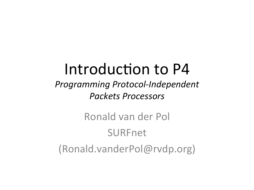#### Introduction to P4

#### **Programming Protocol-Independent** *Packets Processors*

#### Ronald van der Pol SURFnet (Ronald.vanderPol@rvdp.org)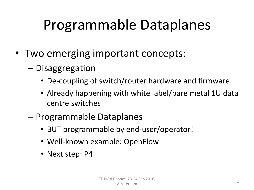## Programmable Dataplanes

- Two emerging important concepts:
	- $-$  Disaggregation
		- De-coupling of switch/router hardware and firmware
		- Already happening with white label/bare metal 1U data centre switches
	- Programmable Dataplanes
		- BUT programmable by end-user/operator!
		- Well-known example: OpenFlow
		- Next step: P4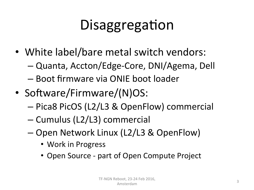# Disaggregation

- White label/bare metal switch vendors:
	- Quanta, Accton/Edge-Core, DNI/Agema, Dell
	- Boot firmware via ONIE boot loader
- Software/Firmware/(N)OS:
	- Pica8 PicOS (L2/L3 & OpenFlow) commercial
	- Cumulus (L2/L3) commercial
	- Open Network Linux (L2/L3 & OpenFlow)
		- Work in Progress
		- Open Source part of Open Compute Project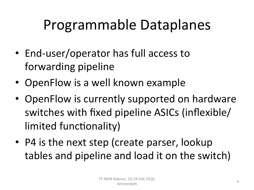### Programmable Dataplanes

- End-user/operator has full access to forwarding pipeline
- OpenFlow is a well known example
- OpenFlow is currently supported on hardware switches with fixed pipeline ASICs (inflexible/ limited functionality)
- P4 is the next step (create parser, lookup tables and pipeline and load it on the switch)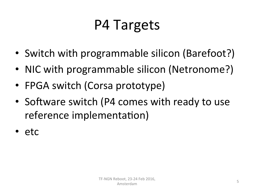### P4 Targets

- Switch with programmable silicon (Barefoot?)
- NIC with programmable silicon (Netronome?)
- FPGA switch (Corsa prototype)
- Software switch (P4 comes with ready to use reference implementation)
- etc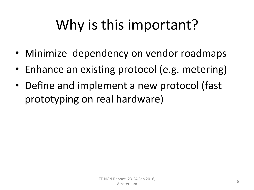# Why is this important?

- Minimize dependency on vendor roadmaps
- Enhance an existing protocol (e.g. metering)
- Define and implement a new protocol (fast prototyping on real hardware)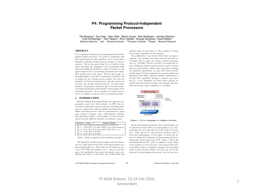#### **P4: Programming Protocol-Independent Packet Processors**

Pat Bosshart<sup>†</sup>, Dan Daly\*, Glen Gibb<sup>†</sup>, Martin Izzard†, Nick McKeown‡, Jennifer Rexford\*\*, Cole Schlesinger\*\*, Dan Talayco *†*, Amin Vahdat *¶*, George Varghese *§*, David Walker\*\* *†*Barefoot Networks \*Intel *‡*Stanford University \*\*Princeton University *¶*Google *§*Microsoft Research

#### ABSTRACT

P4 is a high-level language for programming protocol-independent packet processors. P4 works in conjunction with SDN control protocols like OpenFlow. In its current form, OpenFlow explicitly specifies protocol headers on which it operates. This set has grown from 12 to 41 fields in a few years, increasing the complexity of the specification while still not providing the flexibility to add new headers. In this paper we propose P4 as a strawman proposal for how Open-Flow should evolve in the future. We have three goals: (1) Reconfigurability in the field: Programmers should be able to change the way switches process packets once they are deployed. (2) Protocol independence: Switches should not be tied to any specific network protocols. (3) Target independence: Programmers should be able to describe packetprocessing functionality independently of the specifics of the underlying hardware. As an example, we describe how to use P4 to configure a switch to add a new hierarchical label.

#### 1. INTRODUCTION

Software-Defined Networking (SDN) gives operators programmatic control over their networks. In SDN, the control plane is physically separate from the forwarding plane, and one control plane controls multiple forwarding devices. While forwarding devices could be programmed in many ways, having a common, open, vendor-agnostic interface (like OpenFlow) enables a control plane to control forwarding devices from different hardware and software vendors.

| Version | Date     | Header Fields                          |
|---------|----------|----------------------------------------|
| OF 1.0  | Dec 2009 | 12 fields (Ethernet, TCP/IPv4)         |
| OF 1.1  | Feb 2011 | 15 fields (MPLS, inter-table metadata) |
| OF 1.2  | Dec 2011 | 36 fields (ARP, ICMP, IPv6, etc.)      |
| OF 1.3  | Jun 2012 | 40 fields                              |
| OF 1.4  | Oct 2013 | 41 fields                              |

Table 1: Fields recognized by the OpenFlow standard

The OpenFlow interface started simple, with the abstraction of a single table of rules that could match packets on a dozen header fields (e.g., MAC addresses, IP addresses, protocol, TCP/UDP port numbers, etc.). Over the past five years, the specification has grown increasingly more complicated (see Table 1), with many more header fields and multiple stages of rule tables, to allow switches to expose more of their capabilities to the controller.

The proliferation of new header fields shows no signs of stopping. For example, data-center network operators increasingly want to apply new forms of packet encapsulation (e.g., NVGRE, VXLAN, and STT), for which they resort to deploying software switches that are easier to extend with new functionality. Rather than repeatedly extending the OpenFlow specification, we argue that future switches should support flexible mechanisms for parsing packets and matching header fields, allowing controller applications to leverage these capabilities through a common, open interface (i.e., a new "OpenFlow 2.0" API). Such a general, extensible approach would be simpler, more elegant, and more future-proof than today's OpenFlow 1.x standard.



#### Figure 1: P4 is a language to configure switches.

Recent chip designs demonstrate that such flexibility can be achieved in custom ASICs at terabit speeds [1, 2, 3]. Programming this new generation of switch chips is far from easy. Each chip has its own low-level interface, akin to microcode programming. In this paper, we sketch the design of a higher-level language for Programming Protocolindependent Packet Processors (P4). Figure 1 shows the relationship between P4—used to configure a switch, telling it how packets are to be processed—and existing APIs (such as OpenFlow) that are designed to populate the forwarding tables in fixed function switches. P4 raises the level of abstraction for programming the network, and can serve as a

ACM SIGCOMM Computer Communication Review 88 Volume 44, Number 3, July 2014

TF-NGN Reboot, 23-24 Feb 2016, Amsterdam 7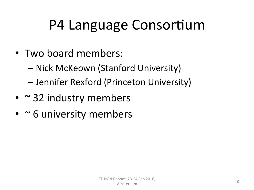## P4 Language Consortium

- Two board members:
	- Nick McKeown (Stanford University)
	- Jennifer Rexford (Princeton University)
- $\cdot$   $\sim$  32 industry members
- $\cdot$   $\sim$  6 university members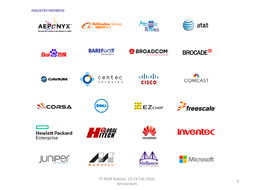**INDUSTRY MEMBERS** 



TF-NGN Reboot, 23-24 Feb 2016, Amsterdam 9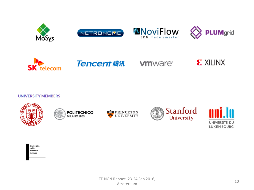











#### **vm**ware<sup>®</sup>



#### **UNIVERSITY MEMBERS**











Università<br>della Svizzera italiana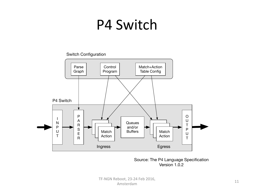#### P4 Switch

#### Switch Configuration



Source: The P4 Language Specification Version 1.0.2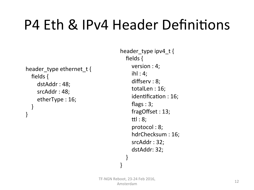#### P4 Eth & IPv4 Header Definitions

```
header type ethernet t {
  fields {
    dstAddr: 48;srcAddr : 48;etherType: 16;
  				}	
}
```

```
header type ipv4 t {
  fields {
    version : 4;ihl: 4;
    diffserv : 8;totalLen : 16;
    identification: 16;flags : 3;fragOffset : 13;
    ttl: 8;
    protocol : 8;
    hdrChecksum : 16;
    srcAddr: 32;
    dstAddr: 32;
  				}
```
}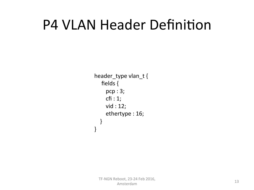#### **P4 VLAN Header Definition**

header\_type vlan\_t { fields { pcp : 3;  $cfi:1;$ vid : 12; ethertype : 16; } }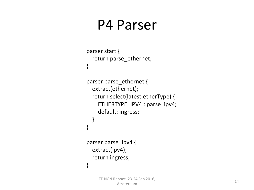#### P4 Parser

```
parser start {
  return parse_ethernet;
}	
parser parse_ethernet {
  				extract(ethernet);	
  return select(latest.etherType) {
     ETHERTYPE_IPV4 : parse_ipv4;
    default: ingress;
  				}	
}	
parser parse ipv4 {
  				extract(ipv4);	
  return ingress;
}
```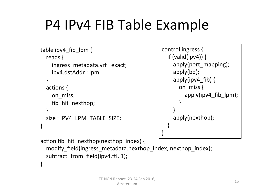## P4 IPv4 FIB Table Example

```
table ipv4 fib \,lpm {
  reads {
    ingress metadata.vrf : exact;
    ipv4.dstAddr: lpm;
				}	
  actions \{on miss;
    fib hit nexthop;
				}	
  size : IPV4 LPM TABLE SIZE;
}
```

```
control ingress {
   if (valid(ipv4)) {
      								apply(port_mapping);	
      								apply(bd);	
      apply(ipv4_fib) \{on miss {
            																apply(ipv4_fib_lpm);	
												}	
								}	
      								apply(nexthop);	
				}	
}
```

```
action fib hit nexthop(nexthop index) {
  modify_field(ingress_metadata.nexthop_index, nexthop_index);
  subtract from field(ipv4.ttl, 1);
}
```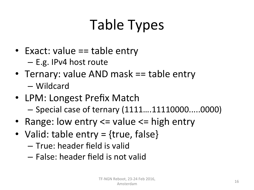# Table Types

- Exact: value  $==$  table entry
	- $-$  E.g. IPv4 host route
- Ternary: value AND mask == table entry – Wildcard
- LPM: Longest Prefix Match – Special case of ternary (1111….11110000.....0000)
- Range: low entry  $\leq$  value  $\leq$  high entry
- Valid: table  $entry = \{true, false\}$ 
	- True: header field is valid
	- False: header field is not valid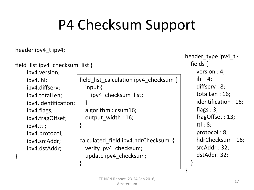#### P4 Checksum Support

#### header ipv4 t ipv4;

```
field list ipv4 checksum list {
```
 ipv4.version; 

 ipv4.ihl; ipv4.diffserv; ipv4.totalLen; ipv4.identification; ipv4.flags; ipv4.fragOffset;  $ipv4.$ ttl; ipv4.protocol; ipv4.srcAddr; ipv4.dstAddr; 

}

```
field list calculation ipv4 checksum \{input \{								ipv4_checksum_list;	
				}
```

```
algorithm : csum16;
output width : 16;
```
}

} 

calculated\_field ipv4.hdrChecksum { verify ipv4 checksum; update ipv4 checksum;

header type ipv4  $t$  { fields { version  $: 4;$  $i$ hl: 4; diffserv: 8; totalLen : 16; identification : 16; flags :  $3$ ; fragOffset : 13; tt $l:8;$ protocol: 8; hdrChecksum : 16; srcAddr: 32; dstAddr: 32; } 

}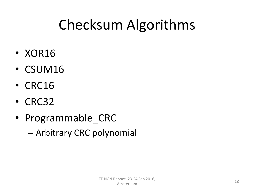## Checksum Algorithms

- XOR16
- CSUM16
- CRC16
- CRC32
- Programmable CRC

 $-$  Arbitrary CRC polynomial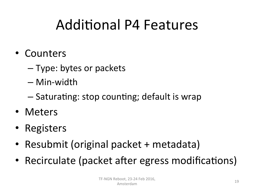### **Additional P4 Features**

- Counters
	- $-$  Type: bytes or packets
	- Min-width
	- $-$  Saturating: stop counting; default is wrap
- Meters
- Registers
- Resubmit (original packet + metadata)
- Recirculate (packet after egress modifications)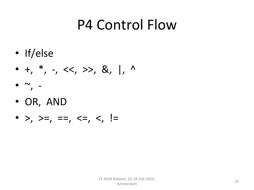#### P4 Control Flow

- If/else
- +, \*, -, <<, >>, &, |, ^
- $\bullet \sim$ , -
- OR, AND
- >, >=, ==, <=, <, !=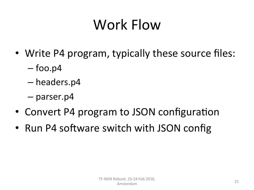# Work Flow

- Write P4 program, typically these source files:
	- $-$  foo.p4
	- headers.p4
	- parser.p4
- Convert P4 program to JSON configuration
- Run P4 software switch with JSON config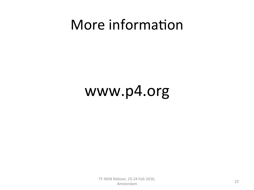#### More information

#### www.p4.org

TF-NGN Reboot, 23-24 Feb 2016,  $\frac{22}{22}$ Amsterdam